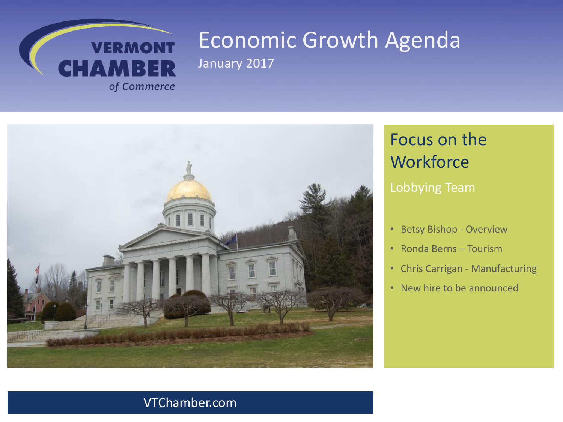



# Focus on the **Workforce**

#### Lobbying Team

- Betsy Bishop Overview
- Ronda Berns Tourism
- Chris Carrigan Manufacturing
- New hire to be announced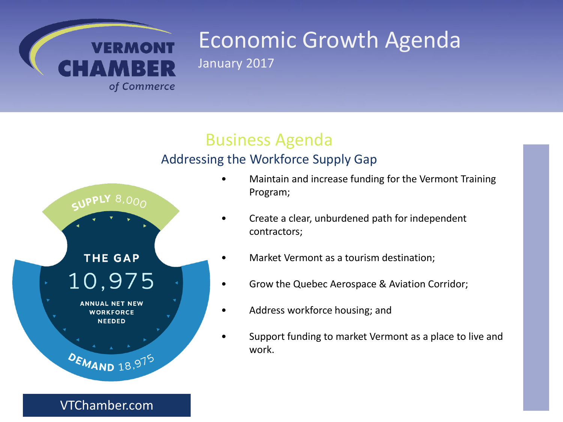

### Business Agenda

#### Addressing the Workforce Supply Gap



• Maintain and increase funding for the Vermont Training Program;

- Create a clear, unburdened path for independent contractors;
- Market Vermont as a tourism destination;
- Grow the Quebec Aerospace & Aviation Corridor;
- Address workforce housing; and
- Support funding to market Vermont as a place to live and work.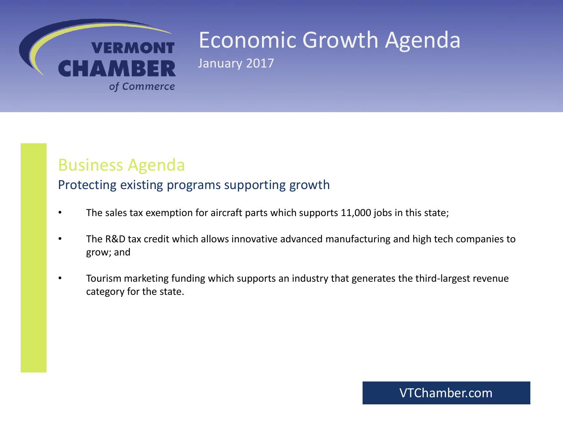

### Business Agenda

#### Protecting existing programs supporting growth

- The sales tax exemption for aircraft parts which supports 11,000 jobs in this state;
- The R&D tax credit which allows innovative advanced manufacturing and high tech companies to grow; and
- Tourism marketing funding which supports an industry that generates the third-largest revenue category for the state.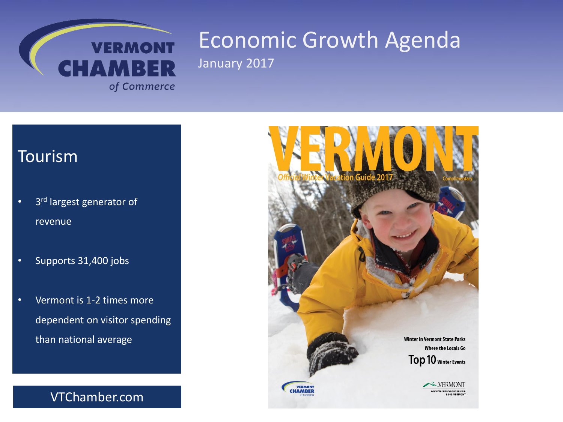

### Tourism

- 3<sup>rd</sup> largest generator of revenue
- Supports 31,400 jobs
- Vermont is 1-2 times more dependent on visitor spending than national average

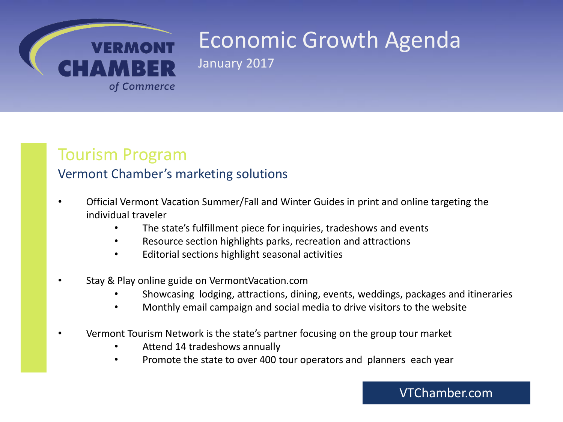

### Tourism Program

#### Vermont Chamber's marketing solutions

- Official Vermont Vacation Summer/Fall and Winter Guides in print and online targeting the individual traveler
	- The state's fulfillment piece for inquiries, tradeshows and events
	- Resource section highlights parks, recreation and attractions
	- Editorial sections highlight seasonal activities
- Stay & Play online guide on VermontVacation.com
	- Showcasing lodging, attractions, dining, events, weddings, packages and itineraries
	- Monthly email campaign and social media to drive visitors to the website
- Vermont Tourism Network is the state's partner focusing on the group tour market
	- Attend 14 tradeshows annually
	- Promote the state to over 400 tour operators and planners each year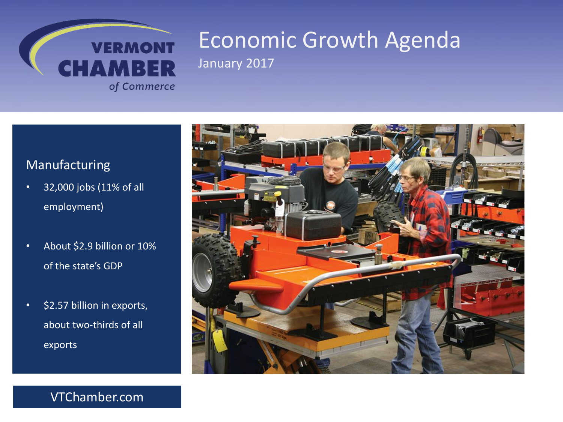

#### Manufacturing

- 32,000 jobs (11% of all employment)
- About \$2.9 billion or 10% of the state's GDP
- \$2.57 billion in exports, about two-thirds of all exports

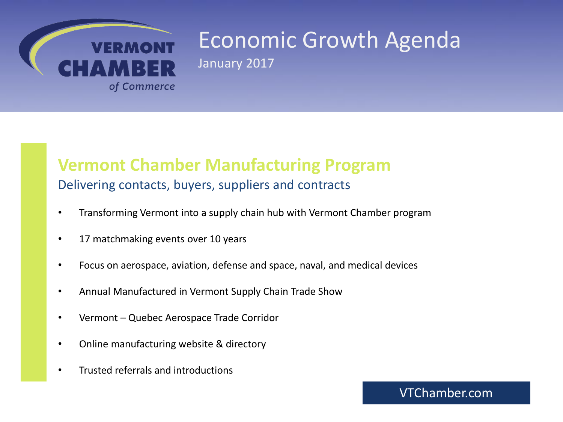

#### **Vermont Chamber Manufacturing Program** Delivering contacts, buyers, suppliers and contracts

- Transforming Vermont into a supply chain hub with Vermont Chamber program
- 17 matchmaking events over 10 years
- Focus on aerospace, aviation, defense and space, naval, and medical devices
- Annual Manufactured in Vermont Supply Chain Trade Show
- Vermont Quebec Aerospace Trade Corridor
- Online manufacturing website & directory
- Trusted referrals and introductions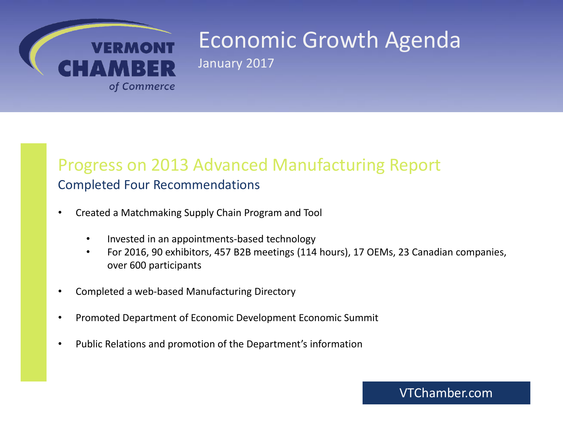

### Progress on 2013 Advanced Manufacturing Report Completed Four Recommendations

- Created a Matchmaking Supply Chain Program and Tool
	- Invested in an appointments-based technology
	- For 2016, 90 exhibitors, 457 B2B meetings (114 hours), 17 OEMs, 23 Canadian companies, over 600 participants
- Completed a web-based Manufacturing Directory
- Promoted Department of Economic Development Economic Summit
- Public Relations and promotion of the Department's information